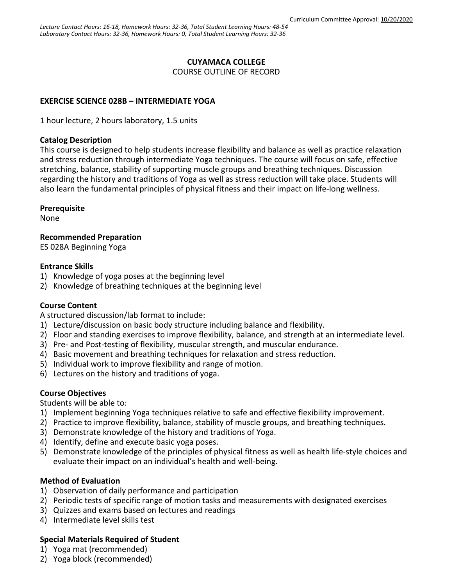# **CUYAMACA COLLEGE**

COURSE OUTLINE OF RECORD

# **EXERCISE SCIENCE 028B – INTERMEDIATE YOGA**

1 hour lecture, 2 hours laboratory, 1.5 units

### **Catalog Description**

This course is designed to help students increase flexibility and balance as well as practice relaxation and stress reduction through intermediate Yoga techniques. The course will focus on safe, effective stretching, balance, stability of supporting muscle groups and breathing techniques. Discussion regarding the history and traditions of Yoga as well as stress reduction will take place. Students will also learn the fundamental principles of physical fitness and their impact on life-long wellness.

# **Prerequisite**

None

**Recommended Preparation**

ES 028A Beginning Yoga

# **Entrance Skills**

- 1) Knowledge of yoga poses at the beginning level
- 2) Knowledge of breathing techniques at the beginning level

# **Course Content**

A structured discussion/lab format to include:

- 1) Lecture/discussion on basic body structure including balance and flexibility.
- 2) Floor and standing exercises to improve flexibility, balance, and strength at an intermediate level.
- 3) Pre- and Post-testing of flexibility, muscular strength, and muscular endurance.
- 4) Basic movement and breathing techniques for relaxation and stress reduction.
- 5) Individual work to improve flexibility and range of motion.
- 6) Lectures on the history and traditions of yoga.

# **Course Objectives**

Students will be able to:

- 1) Implement beginning Yoga techniques relative to safe and effective flexibility improvement.
- 2) Practice to improve flexibility, balance, stability of muscle groups, and breathing techniques.
- 3) Demonstrate knowledge of the history and traditions of Yoga.
- 4) Identify, define and execute basic yoga poses.
- 5) Demonstrate knowledge of the principles of physical fitness as well as health life-style choices and evaluate their impact on an individual's health and well-being.

# **Method of Evaluation**

- 1) Observation of daily performance and participation
- 2) Periodic tests of specific range of motion tasks and measurements with designated exercises
- 3) Quizzes and exams based on lectures and readings
- 4) Intermediate level skills test

# **Special Materials Required of Student**

- 1) Yoga mat (recommended)
- 2) Yoga block (recommended)